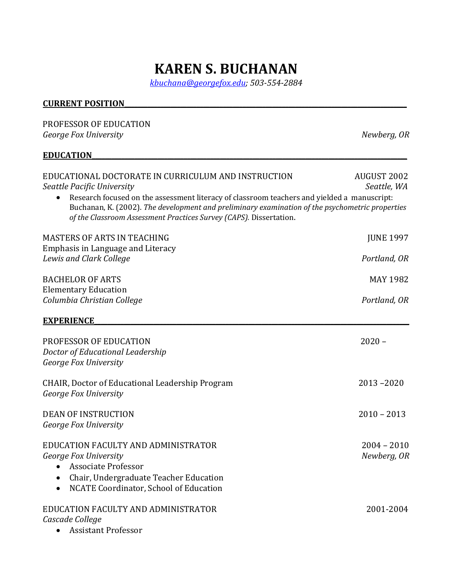# **KAREN S. BUCHANAN**

*kbuchana@georgefox.edu; 503-554-2884*

#### **CURRENT POSITION**

## PROFESSOR OF EDUCATION *George Fox University Newberg, OR* **EDUCATION** EDUCATIONAL DOCTORATE IN CURRICULUM AND INSTRUCTION AND AUGUST 2002 *Seattle Pacific University Seattle, WA* • Research focused on the assessment literacy of classroom teachers and yielded a manuscript: Buchanan, K. (2002). *The development and preliminary examination of the psychometric properties* of the Classroom Assessment Practices Survey (CAPS). Dissertation. MASTERS OF ARTS IN TEACHING **the contract of the contract of the contract of the contract of the contract of the contract of the contract of the contract of the contract of the contract of the contract of the contract of t** Emphasis in Language and Literacy *Lewis* and Clark College *Portland,* OR BACHELOR OF ARTS MAY 1982 Elementary Education *Columbia Christian College Portland, OR* **EXPERIENCE** PROFESSOR OF EDUCATION 2020 – *Doctor of Educational Leadership* George Fox University CHAIR, Doctor of Educational Leadership Program 2013 –2020 George Fox University DEAN OF INSTRUCTION 2010 – 2013 George Fox University EDUCATION FACULTY AND ADMINISTRATOR **2004** - 2010 *George Fox University Newberg, OR* • Associate Professor • Chair, Undergraduate Teacher Education • NCATE Coordinator, School of Education EDUCATION FACULTY AND ADMINISTRATOR **ACULTY AND ADMINISTRATOR** 2001-2004

*Cascade College*

• Assistant Professor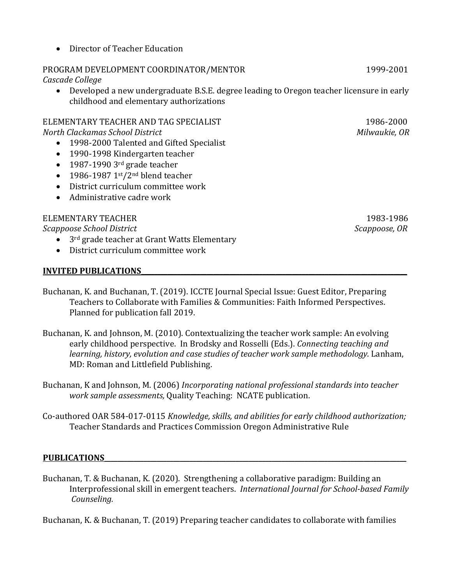• Director of Teacher Education

## PROGRAM DEVELOPMENT COORDINATOR/MENTOR **WELL ANDER 1999-2001**

*Cascade College*

• Developed a new undergraduate B.S.E. degree leading to Oregon teacher licensure in early childhood and elementary authorizations

ELEMENTARY TEACHER AND TAG SPECIALIST **And Contact Actual** 1986-2000 *North Clackamas School District Milwaukie, OR*

- 1998-2000 Talented and Gifted Specialist
- 1990-1998 Kindergarten teacher
- $\bullet$  1987-1990 3rd grade teacher
- 1986-1987  $1<sup>st</sup>/2<sup>nd</sup>$  blend teacher
- District curriculum committee work
- $\bullet$  Administrative cadre work

## ELEMENTARY TEACHER 1983-1986

**Scappoose School District** *Scappoose, OR Scappoose, OR* **<b>***Scappoose, OR Scappoose, OR* 

- $\bullet$  3<sup>rd</sup> grade teacher at Grant Watts Elementary
- $\bullet$  District curriculum committee work

## **INVITED PUBLICATIONS**

Buchanan, K. and Buchanan, T. (2019). ICCTE Journal Special Issue: Guest Editor, Preparing Teachers to Collaborate with Families & Communities: Faith Informed Perspectives. Planned for publication fall 2019.

- Buchanan, K. and Johnson, M. (2010). Contextualizing the teacher work sample: An evolving early childhood perspective. In Brodsky and Rosselli (Eds.). *Connecting teaching and learning, history, evolution and case studies of teacher work sample methodology.* Lanham, MD: Roman and Littlefield Publishing.
- Buchanan, K and Johnson, M. (2006) *Incorporating national professional standards into teacher work sample assessments, Quality Teaching: NCATE publication.*
- Co-authored OAR 584-017-0115 *Knowledge, skills, and abilities for early childhood authorization;* Teacher Standards and Practices Commission Oregon Administrative Rule

## PUBLICATIONS

Buchanan, T. & Buchanan, K. (2020). Strengthening a collaborative paradigm: Building an Interprofessional skill in emergent teachers. *International Journal for School-based Family Counseling.*

Buchanan, K. & Buchanan, T. (2019) Preparing teacher candidates to collaborate with families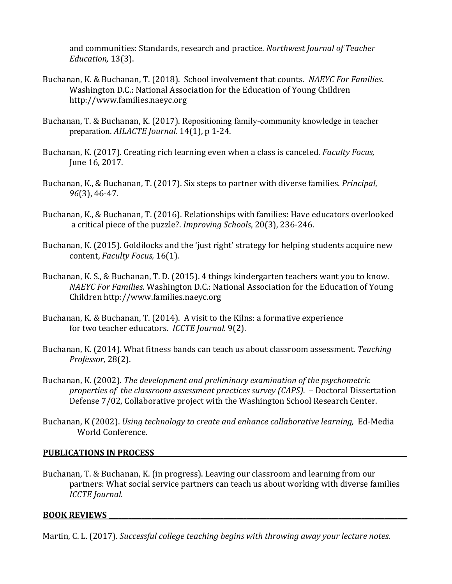and communities: Standards, research and practice. Northwest Journal of Teacher *Education,* 13(3).

- Buchanan, K. & Buchanan, T. (2018). School involvement that counts. NAEYC For Families. Washington D.C.: National Association for the Education of Young Children http://www.families.naeyc.org
- Buchanan, T. & Buchanan, K. (2017). Repositioning family-community knowledge in teacher preparation. *AILACTE Journal.* 14(1), p 1-24.
- Buchanan, K. (2017). Creating rich learning even when a class is canceled. *Faculty Focus*, June 16, 2017.
- Buchanan, K., & Buchanan, T. (2017). Six steps to partner with diverse families. *Principal*, *96*(3), 46-47.
- Buchanan, K., & Buchanan, T. (2016). Relationships with families: Have educators overlooked a critical piece of the puzzle?. *Improving Schools*, 20(3), 236-246.
- Buchanan, K. (2015). Goldilocks and the 'just right' strategy for helping students acquire new content, *Faculty Focus*, 16(1).
- Buchanan, K. S., & Buchanan, T. D. (2015). 4 things kindergarten teachers want you to know. *NAEYC For Families*. Washington D.C.: National Association for the Education of Young Children http://www.families.naeyc.org
- Buchanan, K. & Buchanan, T. (2014). A visit to the Kilns: a formative experience for two teacher educators. *ICCTE Journal.* 9(2).
- Buchanan, K. (2014). What fitness bands can teach us about classroom assessment. *Teaching Professor,* 28(2).
- Buchanan, K. (2002). *The development and preliminary examination of the psychometric* properties of the classroom assessment practices survey (CAPS). - Doctoral Dissertation Defense 7/02, Collaborative project with the Washington School Research Center.
- Buchanan, K (2002). *Using technology to create and enhance collaborative learning*, Ed-Media World Conference.

### **PUBLICATIONS IN PROCESS**

Buchanan, T. & Buchanan, K. (in progress). Leaving our classroom and learning from our partners: What social service partners can teach us about working with diverse families *ICCTE Journal.*

#### **BOOK REVIEWS**

Martin, C. L. (2017). *Successful college teaching begins with throwing away your lecture notes.*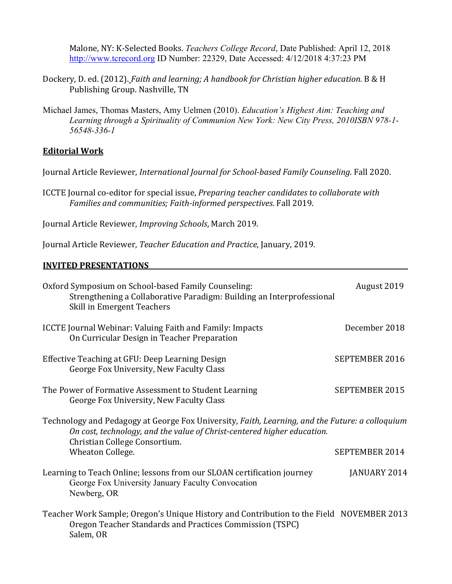Malone, NY: K-Selected Books. *Teachers College Record*, Date Published: April 12, 2018 http://www.tcrecord.org ID Number: 22329, Date Accessed: 4/12/2018 4:37:23 PM

- Dockery, D. ed. (2012). *Faith and learning; A handbook for Christian higher education.* B & H Publishing Group. Nashville, TN
- Michael James, Thomas Masters, Amy Uelmen (2010). *Education's Highest Aim: Teaching and Learning through a Spirituality of Communion New York: New City Press, 2010ISBN 978-1- 56548-336-1*

## **Editorial Work**

Journal Article Reviewer, *International Journal for School-based Family Counseling.* Fall 2020.

ICCTE Journal co-editor for special issue, *Preparing teacher candidates to collaborate with* Families and communities; Faith-informed perspectives. Fall 2019.

Journal Article Reviewer, *Improving Schools*, March 2019.

Journal Article Reviewer, *Teacher Education and Practice*, January, 2019.

## **INVITED PRESENTATIONS**

| Oxford Symposium on School-based Family Counseling:<br>Strengthening a Collaborative Paradigm: Building an Interprofessional<br>Skill in Emergent Teachers                                                  | August 2019           |  |  |
|-------------------------------------------------------------------------------------------------------------------------------------------------------------------------------------------------------------|-----------------------|--|--|
| <b>ICCTE Journal Webinar: Valuing Faith and Family: Impacts</b><br>On Curricular Design in Teacher Preparation                                                                                              | December 2018         |  |  |
| Effective Teaching at GFU: Deep Learning Design<br>George Fox University, New Faculty Class                                                                                                                 | SEPTEMBER 2016        |  |  |
| The Power of Formative Assessment to Student Learning<br>George Fox University, New Faculty Class                                                                                                           | <b>SEPTEMBER 2015</b> |  |  |
| Technology and Pedagogy at George Fox University, Faith, Learning, and the Future: a colloquium<br>On cost, technology, and the value of Christ-centered higher education.<br>Christian College Consortium. |                       |  |  |
| Wheaton College.                                                                                                                                                                                            | SEPTEMBER 2014        |  |  |
| Learning to Teach Online; lessons from our SLOAN certification journey<br>George Fox University January Faculty Convocation<br>Newberg, OR                                                                  | JANUARY 2014          |  |  |
| Teacher Work Sample; Oregon's Unique History and Contribution to the Field NOVEMBER 2013<br>Oregon Teacher Standards and Practices Commission (TSPC)<br>Salem, OR                                           |                       |  |  |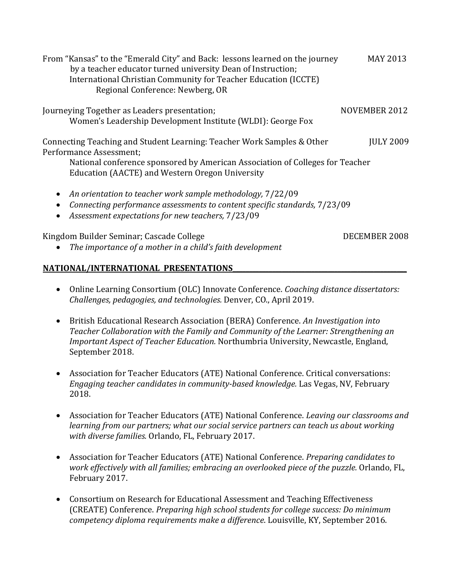From "Kansas" to the "Emerald City" and Back: lessons learned on the journey MAY 2013 by a teacher educator turned university Dean of Instruction; International Christian Community for Teacher Education (ICCTE) Regional Conference: Newberg, OR Journeying Together as Leaders presentation; NOVEMBER 2012 Women's Leadership Development Institute (WLDI): George Fox Connecting Teaching and Student Learning: Teacher Work Samples & Other [ULY 2009] Performance Assessment; National conference sponsored by American Association of Colleges for Teacher Education (AACTE) and Western Oregon University • An orientation to teacher work sample methodology,  $7/22/09$ • *Connecting performance assessments to content specific standards,*  $7/23/09$ • Assessment expectations for new teachers,  $7/23/09$ Kingdom Builder Seminar; Cascade College DECEMBER 2008

• The *importance of a mother in a child's faith development* 

## **NATIONAL/INTERNATIONAL PRESENTATIONS**

- Online Learning Consortium (OLC) Innovate Conference. *Coaching distance dissertators: Challenges, pedagogies, and technologies.* Denver, CO., April 2019.
- British Educational Research Association (BERA) Conference. An Investigation into *Teacher Collaboration with the Family and Community of the Learner: Strengthening an Important Aspect of Teacher Education.* Northumbria University, Newcastle, England, September 2018.
- Association for Teacher Educators (ATE) National Conference. Critical conversations: *Engaging teacher candidates in community-based knowledge. Las Vegas, NV, February* 2018.
- Association for Teacher Educators (ATE) National Conference. *Leaving our classrooms and learning from our partners; what our social service partners can teach us about working* with *diverse families.* Orlando, FL, February 2017.
- Association for Teacher Educators (ATE) National Conference. *Preparing candidates to work effectively with all families; embracing an overlooked piece of the puzzle.* Orlando, FL, February 2017.
- Consortium on Research for Educational Assessment and Teaching Effectiveness (CREATE) Conference. *Preparing high school students for college success: Do minimum competency diploma requirements make a difference*. Louisville, KY, September 2016.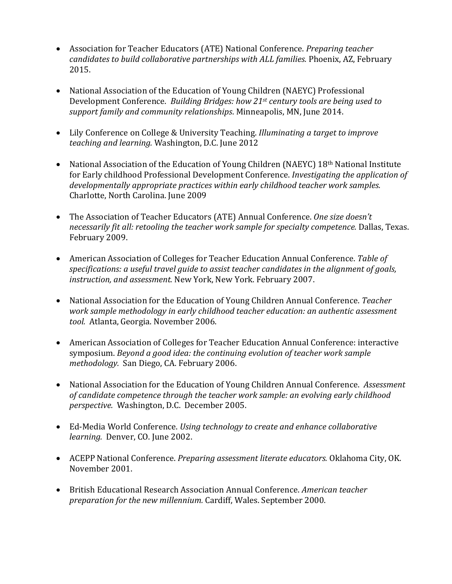- Association for Teacher Educators (ATE) National Conference. *Preparing teacher candidates to build collaborative partnerships with ALL families.* Phoenix, AZ, February 2015.
- National Association of the Education of Young Children (NAEYC) Professional Development Conference. Building Bridges: how 21<sup>st</sup> century tools are being used to support family and community relationships. Minneapolis, MN, June 2014.
- Lily Conference on College & University Teaching. *Illuminating a target to improve teaching and learning.* Washington, D.C. June 2012
- National Association of the Education of Young Children (NAEYC)  $18<sup>th</sup>$  National Institute for Early childhood Professional Development Conference. *Investigating the application of* developmentally appropriate practices within early childhood teacher work samples. Charlotte, North Carolina. June 2009
- The Association of Teacher Educators (ATE) Annual Conference. One size doesn't *necessarily fit all: retooling the teacher work sample for specialty competence.* Dallas, Texas. February 2009.
- American Association of Colleges for Teacher Education Annual Conference. Table of specifications: a useful travel guide to assist teacher candidates in the alignment of goals, instruction, and assessment. New York, New York. February 2007.
- National Association for the Education of Young Children Annual Conference. *Teacher* work sample methodology in early childhood teacher education: an authentic assessment tool. Atlanta, Georgia. November 2006.
- American Association of Colleges for Teacher Education Annual Conference: interactive symposium. *Beyond a good idea: the continuing evolution of teacher work sample* methodology. San Diego, CA. February 2006.
- National Association for the Education of Young Children Annual Conference. Assessment of candidate competence through the teacher work sample: an evolving early childhood *perspective.*  Washington, D.C. December 2005.
- Ed-Media World Conference. *Using technology to create and enhance collaborative learning.* Denver, CO. June 2002.
- ACEPP National Conference. *Preparing assessment literate educators.* Oklahoma City, OK. November 2001.
- British Educational Research Association Annual Conference. *American teacher* preparation for the new millennium. Cardiff, Wales. September 2000.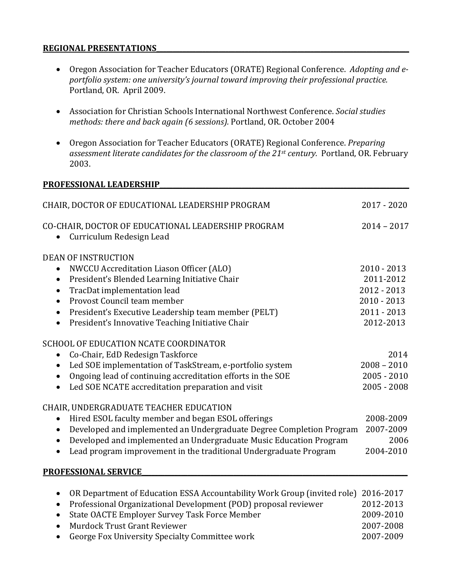#### **REGIONAL PRESENTATIONS**

- Oregon Association for Teacher Educators (ORATE) Regional Conference. Adopting and eportfolio system: one university's journal toward improving their professional practice. Portland, OR. April 2009.
- Association for Christian Schools International Northwest Conference. *Social studies methods: there and back again (6 sessions).* Portland, OR. October 2004
- Oregon Association for Teacher Educators (ORATE) Regional Conference. *Preparing* assessment literate candidates for the classroom of the 21<sup>st</sup> century. Portland, OR. February 2003.

#### PROFESSIONAL LEADERSHIP

| CHAIR, DOCTOR OF EDUCATIONAL LEADERSHIP PROGRAM                                             | 2017 - 2020   |
|---------------------------------------------------------------------------------------------|---------------|
| CO-CHAIR, DOCTOR OF EDUCATIONAL LEADERSHIP PROGRAM<br>Curriculum Redesign Lead<br>$\bullet$ | $2014 - 2017$ |
| <b>DEAN OF INSTRUCTION</b>                                                                  |               |
| NWCCU Accreditation Liason Officer (ALO)<br>$\bullet$                                       | $2010 - 2013$ |
| President's Blended Learning Initiative Chair<br>$\bullet$                                  | 2011-2012     |
| TracDat implementation lead<br>$\bullet$                                                    | 2012 - 2013   |
| Provost Council team member<br>$\bullet$                                                    | $2010 - 2013$ |
| President's Executive Leadership team member (PELT)<br>$\bullet$                            | $2011 - 2013$ |
| President's Innovative Teaching Initiative Chair<br>$\bullet$                               | 2012-2013     |
| SCHOOL OF EDUCATION NCATE COORDINATOR                                                       |               |
| Co-Chair, EdD Redesign Taskforce<br>$\bullet$                                               | 2014          |
| Led SOE implementation of TaskStream, e-portfolio system<br>$\bullet$                       | $2008 - 2010$ |
| Ongoing lead of continuing accreditation efforts in the SOE<br>$\bullet$                    | $2005 - 2010$ |
| Led SOE NCATE accreditation preparation and visit<br>$\bullet$                              | $2005 - 2008$ |
| CHAIR, UNDERGRADUATE TEACHER EDUCATION                                                      |               |
| Hired ESOL faculty member and began ESOL offerings<br>$\bullet$                             | 2008-2009     |
| Developed and implemented an Undergraduate Degree Completion Program<br>$\bullet$           | 2007-2009     |
| Developed and implemented an Undergraduate Music Education Program<br>$\bullet$             | 2006          |
| Lead program improvement in the traditional Undergraduate Program<br>$\bullet$              | 2004-2010     |
| <b>PROFESSIONAL SERVICE</b>                                                                 |               |
| OR Department of Education ESSA Accountability Work Group (invited role) 2016-2017          |               |

| • OR Department of Education ESSA Accountability Work Group (invited role) 2016-2017 |           |
|--------------------------------------------------------------------------------------|-----------|
| • Professional Organizational Development (POD) proposal reviewer                    | 2012-2013 |
| • State OACTE Employer Survey Task Force Member                                      | 2009-2010 |
| • Murdock Trust Grant Reviewer                                                       | 2007-2008 |
| • George Fox University Specialty Committee work                                     | 2007-2009 |
|                                                                                      |           |